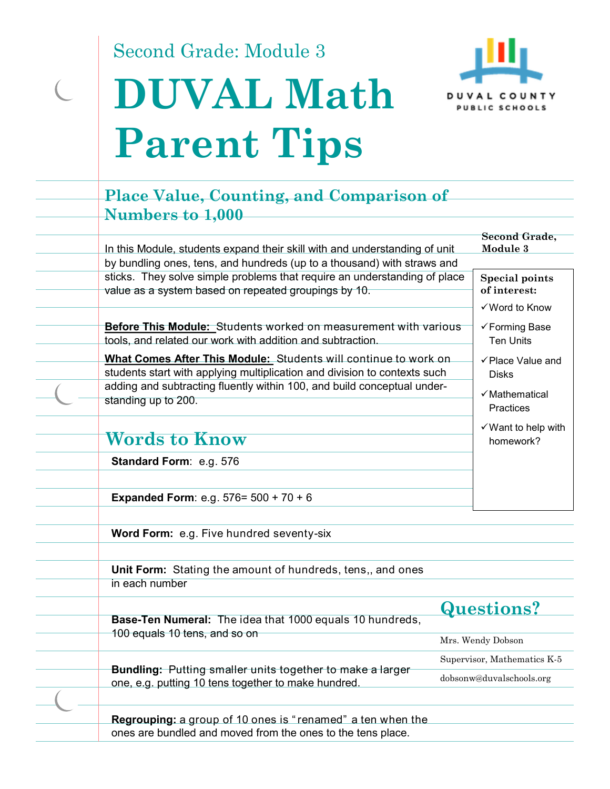Second Grade: Module 3

 $\overline{C}$ 

# **DUVAL Math Parent Tips**



### **Place Value, Counting, and Comparison of Numbers to 1,000**

| In this Module, students expand their skill with and understanding of unit                                                                   | <b>Second Grade,</b><br>Module 3                        |
|----------------------------------------------------------------------------------------------------------------------------------------------|---------------------------------------------------------|
| by bundling ones, tens, and hundreds (up to a thousand) with straws and                                                                      |                                                         |
| sticks. They solve simple problems that require an understanding of place<br>value as a system based on repeated groupings by 10.            | <b>Special points</b><br>of interest:<br>✓ Word to Know |
| <b>Before This Module:</b> Students worked on measurement with various<br>tools, and related our work with addition and subtraction.         | √ Forming Base<br><b>Ten Units</b>                      |
| What Comes After This Module: Students will continue to work on<br>students start with applying multiplication and division to contexts such | $\checkmark$ Place Value and<br><b>Disks</b>            |
| adding and subtracting fluently within 100, and build conceptual under-<br>standing up to 200.                                               | $\checkmark$ Mathematical<br>Practices                  |
|                                                                                                                                              | $\checkmark$ Want to help with                          |
| <b>Words to Know</b>                                                                                                                         | homework?                                               |
| <b>Standard Form: e.g. 576</b>                                                                                                               |                                                         |
|                                                                                                                                              |                                                         |
| <b>Expanded Form:</b> e.g. $576 = 500 + 70 + 6$                                                                                              |                                                         |
| Word Form: e.g. Five hundred seventy-six                                                                                                     |                                                         |
|                                                                                                                                              |                                                         |

**Unit Form:** Stating the amount of hundreds, tens,, and ones in each number

**Base-Ten Numeral:** The idea that 1000 equals 10 hundreds, 100 equals 10 tens, and so on

**Questions?** 

Mrs. Wendy Dobson Supervisor, Mathematics K-5

dobsonw@duvalschools.org

**Bundling:** Putting smaller units together to make a larger one, e.g. putting 10 tens together to make hundred.

**Regrouping:** a group of 10 ones is " renamed" a ten when the

ones are bundled and moved from the ones to the tens place.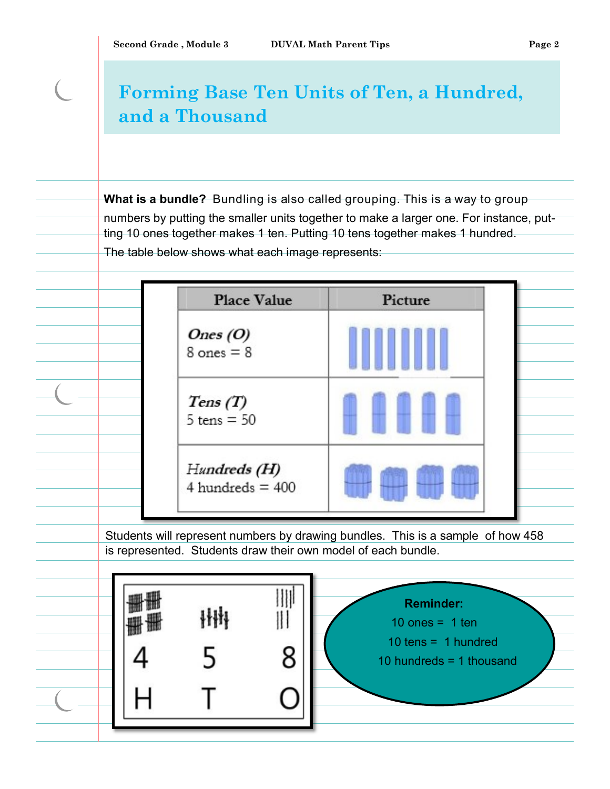$\left($ 

## **Forming Base Ten Units of Ten, a Hundred, and a Thousand**

**What is a bundle?** Bundling is also called grouping. This is a way to group numbers by putting the smaller units together to make a larger one. For instance, putting 10 ones together makes 1 ten. Putting 10 tens together makes 1 hundred. The table below shows what each image represents:

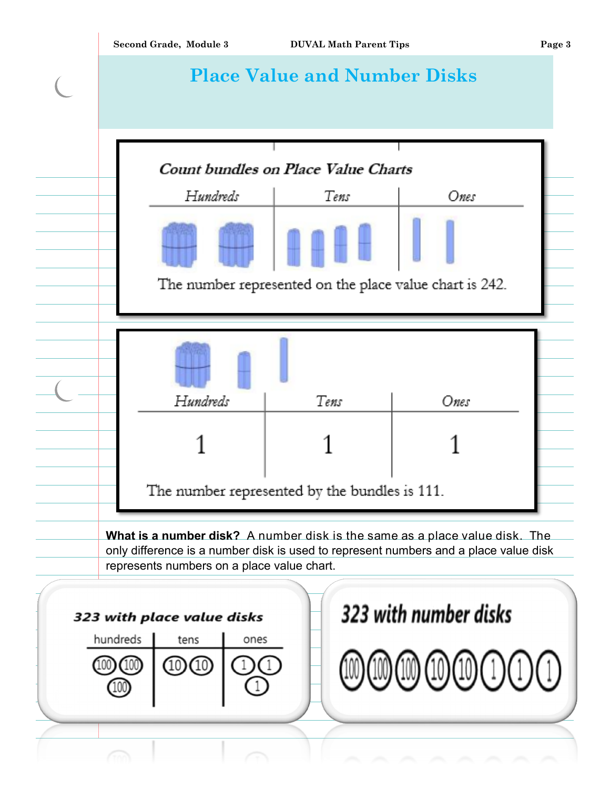|                                                     | Second Grade, Module 3                                                                                                                                                                                            | <b>DUVAL Math Parent Tips</b>                           |      | Page 3 |  |  |  |
|-----------------------------------------------------|-------------------------------------------------------------------------------------------------------------------------------------------------------------------------------------------------------------------|---------------------------------------------------------|------|--------|--|--|--|
|                                                     |                                                                                                                                                                                                                   | <b>Place Value and Number Disks</b>                     |      |        |  |  |  |
|                                                     |                                                                                                                                                                                                                   |                                                         |      |        |  |  |  |
|                                                     |                                                                                                                                                                                                                   | Count bundles on Place Value Charts                     |      |        |  |  |  |
|                                                     | Hundreds                                                                                                                                                                                                          | Tens                                                    | Ones |        |  |  |  |
|                                                     |                                                                                                                                                                                                                   |                                                         |      |        |  |  |  |
|                                                     |                                                                                                                                                                                                                   | The number represented on the place value chart is 242. |      |        |  |  |  |
|                                                     |                                                                                                                                                                                                                   |                                                         |      |        |  |  |  |
|                                                     |                                                                                                                                                                                                                   |                                                         |      |        |  |  |  |
|                                                     | Hundreds                                                                                                                                                                                                          | Tens                                                    | Ones |        |  |  |  |
|                                                     |                                                                                                                                                                                                                   |                                                         |      |        |  |  |  |
|                                                     |                                                                                                                                                                                                                   | The number represented by the bundles is 111.           |      |        |  |  |  |
|                                                     | What is a number disk? A number disk is the same as a place value disk. The<br>only difference is a number disk is used to represent numbers and a place value disk<br>represents numbers on a place value chart. |                                                         |      |        |  |  |  |
| 323 with number disks<br>323 with place value disks |                                                                                                                                                                                                                   |                                                         |      |        |  |  |  |
| hundreds<br>tens<br>ones                            |                                                                                                                                                                                                                   |                                                         |      |        |  |  |  |
|                                                     | (10)                                                                                                                                                                                                              |                                                         |      |        |  |  |  |
|                                                     |                                                                                                                                                                                                                   |                                                         |      |        |  |  |  |